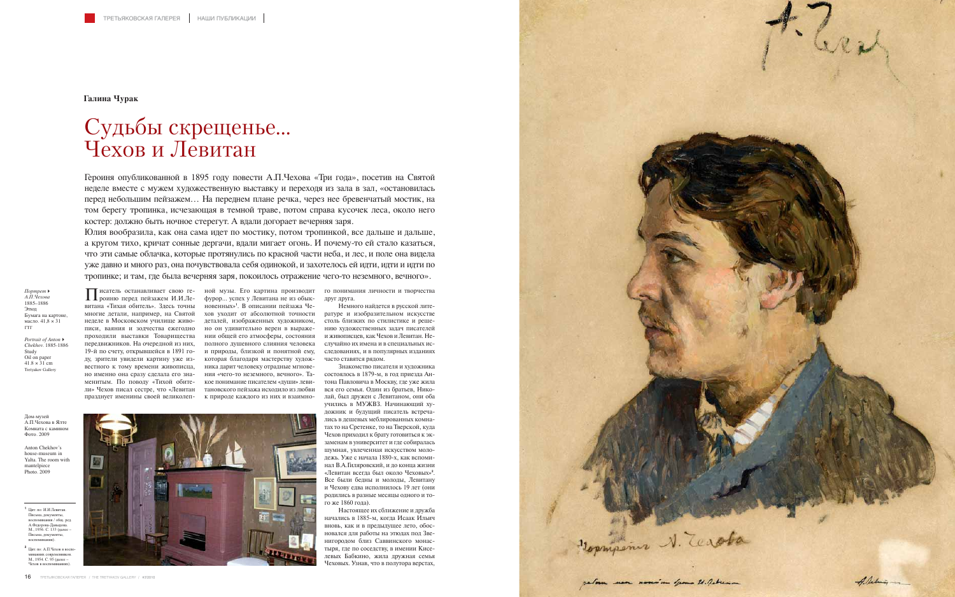

Писатель останавливает свою ге-роиню перед пейзажем И.И.Левитана «Тихая обитель». Здесь точны многие детали, например, на Святой неделе в Московском училище живовестного к тому времени живописца, но именно она сразу сделала его знаменитым. По поводу «Тихой обите-

писи, ваяния и зодчества ежегодно но он удивительно верен в выражепроходили выставки Товарищества нии общей его атмосферы, состояния передвижников. На очередной из них, полного душевного слияния человека случайно их имена и в специальных ис-19-й по счету, открывшейся в 1891 го-и природы, близкой и понятной ему, ду, зрители увидели картину уже из-которая благодаря мастерству художли» Чехов писал сестре, что «Левитан тановского пейзажа исходило из любви празднует именины своей великолеп-к природе каждого из них и взаимноисатель останавливает свою ге- ной музы. Его картина производит фурор… успех у Левитана не из обыкновенных»**<sup>1</sup>** . В описании пейзажа Чехов уходит от абсолютной точности деталей, изображенных художником, ника дарит человеку отрадные мгновения «чего-то неземного, вечного». Такое понимание писателем «души» леви-

*Portrait of Anton*- *Chekhov.* 1885-1886 Study Oil on paper 41.8  $\times$  31 cm Tretyakov Galler

Героиня опубликованной в 1895 году повести А.П.Чехова «Три года», посетив на Святой неделе вместе с мужем художественную выставку и переходя из зала в зал, «остановилась перед небольшим пейзажем… На переднем плане речка, через нее бревенчатый мостик, на том берегу тропинка, исчезающая в темной траве, потом справа кусочек леса, около него костер: должно быть ночное стерегут. А вдали догорает вечерняя заря.

Юлия вообразила, как она сама идет по мостику, потом тропинкой, все дальше и дальше, а кругом тихо, кричат сонные дергачи, вдали мигает огонь. И почему-то ей стало казаться, что эти самые облачка, которые протянулись по красной части неба, и лес, и поле она видела уже давно и много раз, она почувствовала себя одинокой, и захотелось ей идти, идти и идти по тропинке; и там, где была вечерняя заря, покоилось отражение чего-то неземного, вечного».

**Галина Чурак**

## Судьбы скрещенье… Чехов и Левитан

**<sup>1</sup>** Цит. по: И.И.Левитан. Письма, документы, воспоминания / общ. ред. А.Федорова-Давыдова. М., 1956. С. 133 (далее – Письма, документ воспоминания).

**<sup>2</sup>** Цит. по: А.П.Чехов в воспоминаниях современников. М., 1954. С. 95 (далее – Чехов в воспоминаниях).

Дом-музей А.П.Чехова в Ялте Комната с камино Фото. 2009

Anton Chekhov's house-museum in Yalta. The room with mantelpiece Photo. 2009

*Портрет*- *А.П.Чехова* 1885–1886 Этюд Бумага на картоне, масло. 41,8 × 31 ГТГ

го понимания личности и творчества друг друга.

Немного найдется в русской литературе и изобразительном искусстве столь близких по стилистике и решению художественных задач писателей и живописцев, как Чехов и Левитан. Неследованиях, и в популярных изданиях часто ставятся рядом.

Знакомство писателя и художника состоялось в 1879-м, в год приезда Антона Павловича в Москву, где уже жила вся его семья. Один из братьев, Николай, был дружен с Левитаном, они оба учились в МУЖВЗ. Начинающий художник и будущий писатель встречались в дешевых меблированных комнатах то на Сретенке, то на Тверской, куда Чехов приходил к брату готовиться к экзаменам в университет и где собиралась шумная, увлеченная искусством молодежь. Уже с начала 1880-х, как вспоминал В.А.Гиляровский, и до конца жизни «Левитан всегда был около Чеховых»**<sup>2</sup>** . Все были бедны и молоды, Левитану и Чехову едва исполнилось 19 лет (они родились в разные месяцы одного и того же 1860 года).

Настоящее их сближение и дружба начались в 1885-м, когда Исаак Ильич вновь, как и в предыдущее лето, обосновался для работы на этюдах под Звенигородом близ Саввинского монастыря, где по соседству, в имении Киселевых Бабкино, жила дружная семья Чеховых. Узнав, что в полутора верстах,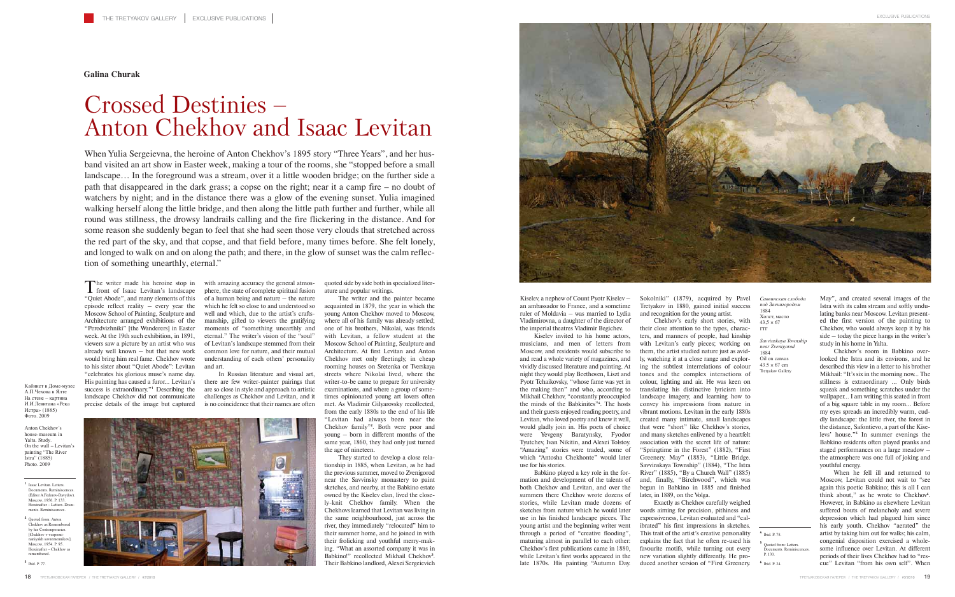The writer made his heroine stop in **I** front of Isaac Levitan's landscape "Quiet Abode", and many elements of this episode reflect reality – every year the Moscow School of Painting, Sculpture and Architecture arranged exhibitions of the "Peredvizhniki" [the Wanderers] in Easter week. At the 19th such exhibition, in 1891, viewers saw a picture by an artist who was already well known – but that new work would bring him real fame. Chekhov wrote to his sister about "Quiet Abode": Levitan "celebrates his glorious muse's name day. His painting has caused a furor… Levitan's success is extraordinary."**<sup>1</sup>** Describing the landscape Chekhov did not communicate precise details of the image but captured

with amazing accuracy the general atmosphere, the state of complete spiritual fusion of a human being and nature – the nature which he felt so close to and understood so well and which, due to the artist's craftsmanship, gifted to viewers the gratifying moments of "something unearthly and eternal." The writer's vision of the "soul" of Levitan's landscape stemmed from their common love for nature, and their mutual understanding of each others' personality and art.

In Russian literature and visual art, there are few writer-painter pairings that are so close in style and approach to artistic challenges as Chekhov and Levitan, and it is no coincidence that their names are often

quoted side by side both in specialized literature and popular writings.

The writer and the painter became acquainted in 1879, the year in which the young Anton Chekhov moved to Moscow, where all of his family was already settled; one of his brothers, Nikolai, was friends with Levitan, a fellow student at the Moscow School of Painting, Sculpture and Architecture. At first Levitan and Anton Chekhov met only fleetingly, in cheap rooming houses on Sretenka or Tverskaya streets where Nikolai lived, where the writer-to-be came to prepare for university examinations, and where a group of sometimes opinionated young art lovers often met. As Vladimir Gilyarovsky recollected, from the early 1880s to the end of his life "Levitan had always been near the Chekhov family"**<sup>2</sup>** . Both were poor and young – born in different months of the same year, 1860, they had only just turned the age of nineteen.

They started to develop a close relationship in 1885, when Levitan, as he had the previous summer, moved to Zvenigorod near the Savvinsky monastery to paint sketches, and nearby, at the Babkino estate owned by the Kiselev clan, lived the closely-knit Chekhov family. When the Chekhovs learned that Levitan was living in the same neighbourhood, just across the river, they immediately "relocated" him to their summer home, and he joined in with their frolicking and youthful merry-making. "What an assorted company it was in Babkino!" recollected Mikhail Chekhov**<sup>3</sup>** . Their Babkino landlord, Alexei Sergeievich



Kiselev, a nephew of Count Pyotr Kiselev – an ambassador to France, and a sometime ruler of Moldavia – was married to Lydia Vladimirovna, a daughter of the director of the imperial theatres Vladimir Begichev.

Kiselev invited to his home actors, musicians, and men of letters from Moscow, and residents would subscribe to and read a whole variety of magazines, and vividly discussed literature and painting. At night they would play Beethoven, Liszt and Pyotr Tchaikovsky, "whose fame was yet in the making then" and who, according to Mikhail Chekhov, "constantly preoccupied the minds of the Babkinites"**<sup>4</sup>** . The hosts and their guests enjoyed reading poetry, and Levitan, who loved poetry and knew it well, would gladly join in. His poets of choice were Yevgeny Baratynsky, Fyodor Tyutchev, Ivan Nikitin, and Alexei Tolstoy. "Amazing" stories were traded, some of which "Antosha Chekhonte" would later use for his stories.

**<sup>1</sup>** Isaac Levitan. Letters. Documents. Reminiscences. (Editor A.Fedorov-Davydov). Moscow, 1956. P. 133. Hereinafter – Letters. Documents. Reminiscences

Babkino played a key role in the formation and development of the talents of both Chekhov and Levitan, and over the summers there Chekhov wrote dozens of stories, while Levitan made dozens of sketches from nature which he would later use in his finished landscape pieces. The young artist and the beginning writer went through a period of "creative flooding", maturing almost in parallel to each other: Chekhov's first publications came in 1880, while Levitan's first works appeared in the late 1870s. His painting "Autumn Day.

*Savvinskaya Township near Zvenigorod* 1884 Oil on canvas  $43.5 \times 67$  cm Tretyakov Galler

Sokolniki" (1879), acquired by Pavel Tretyakov in 1880, gained initial success and recognition for the young artist.

Chekhov's early short stories, with their close attention to the types, characters, and manners of people, had kinship with Levitan's early pieces; working on them, the artist studied nature just as avidly, watching it at a close range and exploring the subtlest interrelations of colour tones and the complex interactions of colour, lighting and air. He was keen on translating his distinctive lyricism into landscape imagery, and learning how to convey his impressions from nature in vibrant motions. Levitan in the early 1880s created many intimate, small landscapes that were "short" like Chekhov's stories, and many sketches enlivened by a heartfelt association with the secret life of nature: "Springtime in the Forest" (1882), "First Greenery. May" (1883), "Little Bridge. Savvinskaya Township" (1884), "The Istra River" (1885), "By a Church Wall" (1885) and, finally, "Birchwood", which was begun in Babkino in 1885 and finished later, in 1889, on the Volga.

Exactly as Chekhov carefully weighed words aiming for precision, pithiness and expressiveness, Levitan evaluated and "calibrated" his first impressions in sketches. This trait of the artist's creative personality explains the fact that he often re-used his favourite motifs, while turning out every new variation slightly differently. He produced another version of "First Greenery.

May", and created several images of the Istra with its calm stream and softly undulating banks near Moscow. Levitan presented the first version of the painting to Chekhov, who would always keep it by his side – today the piece hangs in the writer's study in his home in Yalta.

Chekhov's room in Babkino overlooked the Istra and its environs, and he described this view in a letter to his brother Mikhail: "It's six in the morning now… The stillness is extraordinary … Only birds squeak and something scratches under the wallpaper… I am writing this seated in front of a big square table in my room… Before my eyes spreads an incredibly warm, cuddly landscape: the little river, the forest in the distance, Safontievo, a part of the Kiselevs' house."**<sup>5</sup>** In summer evenings the Babkino residents often played pranks and staged performances on a large meadow – the atmosphere was one full of joking and youthful energy.

When he fell ill and returned to Moscow, Levitan could not wait to "see again this poetic Babkino; this is all I can think about," as he wrote to Chekhov**<sup>6</sup>** . However, in Babkino as elsewhere Levitan suffered bouts of melancholy and severe depression which had plagued him since his early youth. Chekhov "aerated" the artist by taking him out for walks; his calm, congenial disposition exercised a wholesome influence over Levitan. At different periods of their lives Chekhov had to "rescue" Levitan "from his own self". When

When Yulia Sergeievna, the heroine of Anton Chekhov's 1895 story "Three Years", and her husband visited an art show in Easter week, making a tour of the rooms, she "stopped before a small landscape… In the foreground was a stream, over it a little wooden bridge; on the further side a path that disappeared in the dark grass; a copse on the right; near it a camp fire – no doubt of watchers by night; and in the distance there was a glow of the evening sunset. Yulia imagined walking herself along the little bridge, and then along the little path further and further, while all round was stillness, the drowsy landrails calling and the fire flickering in the distance. And for some reason she suddenly began to feel that she had seen those very clouds that stretched across the red part of the sky, and that copse, and that field before, many times before. She felt lonely, and longed to walk on and on along the path; and there, in the glow of sunset was the calm reflection of something unearthly, eternal."

**Galina Churak**

## Crossed Destinies – Anton Chekhov and Isaac Levitan

**<sup>2</sup>** Quoted from: Anton Chekhov as Remembered by his Contemporaries [Chekhov v vospominaniyakh sovremennikov]. Moscow, 1954. P. 95. Hereinafter - Chekhov a remembered.

**<sup>3</sup>** Ibid. P. 77.

Кабинет в Доме-музее А.П.Чехова в Ялте На стене – картина И.И.Левитана «Река Истра» (1885) Фото. 2009

Anton Chekhov's house-museum in Yalta. Study. On the wall – Levitan's painting "The River Istra" (1885) Photo. 2009

*Саввинская слобода под Звенигородом* 1884 Холст, масло  $43.5 \times 67$ ГТГ

**<sup>4</sup>** Ibid. P. 78.

**<sup>5</sup>** Quoted from: Letters. Documents. Reminiscences. P. 130.

**<sup>6</sup>** Ibid. P. 24.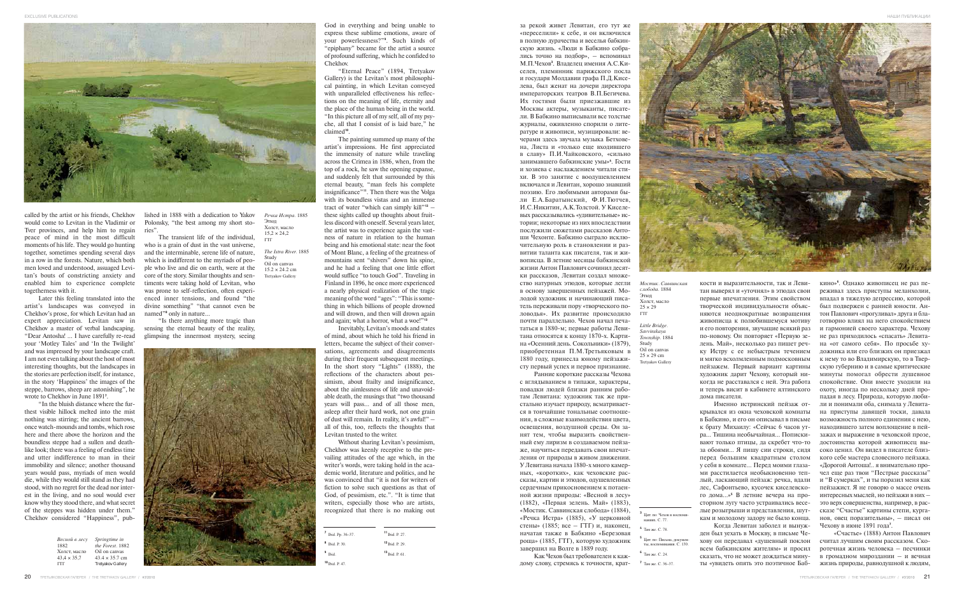



called by the artist or his friends, Chekhov would come to Levitan in the Vladimir or Tver provinces, and help him to regain peace of mind in the most difficult moments of his life. They would go hunting together, sometimes spending several days in a row in the forests. Nature, which both men loved and understood, assuaged Levitan's bouts of constricting anxiety and enabled him to experience complete togetherness with it.

Later this feeling translated into the artist's landscapes was conveyed in Chekhov's prose, for which Levitan had an expert appreciation. Levitan saw in Chekhov a master of verbal landscaping. "Dear Antosha! … I have carefully re-read your 'Motley Tales' and 'In the Twilight' and was impressed by your landscape craft. I am not even talking about the host of most interesting thoughts, but the landscapes in the stories are perfection itself, for instance, in the story 'Happiness' the images of the steppe, barrows, sheep are astonishing", he wrote to Chekhov in June 1891**<sup>7</sup>** .

"In the bluish distance where the furthest visible hillock melted into the mist nothing was stirring; the ancient barrows, once watch-mounds and tombs, which rose here and there above the horizon and the boundless steppe had a sullen and deathlike look; there was a feeling of endless time and utter indifference to man in their immobility and silence; another thousand years would pass, myriads of men would die, while they would still stand as they had stood, with no regret for the dead nor interest in the living, and no soul would ever know why they stood there, and what secret of the steppes was hidden under them." Chekhov considered "Happiness", pub-

lished in 1888 with a dedication to Yakov Polonsky, "the best among my short stories".

The transient life of the individual, who is a grain of dust in the vast universe, and the interminable, serene life of nature, which is indifferent to the myriads of people who live and die on earth, were at the core of the story. Similar thoughts and sentiments were taking hold of Levitan, who was prone to self-reflection, often experienced inner tensions, and found "the divine something" "that cannot even be named"**<sup>8</sup>** only in nature…

"Is there anything more tragic than sensing the eternal beauty of the reality, glimpsing the innermost mystery, seeing



God in everything and being unable to express these sublime emotions, aware of your powerlessness?"**<sup>9</sup>** . Such kinds of "epiphany" became for the artist a source of profound suffering, which he confided to Chekhov.

"Eternal Peace" (1894, Tretyakov Gallery) is the Levitan's most philosophical painting, in which Levitan conveyed with unparalleled effectiveness his reflections on the meaning of life, eternity and the place of the human being in the world. "In this picture all of my self, all of my psyche, all that I consist of is laid bare," he claimed**10**.

The painting summed up many of the artist's impressions. He first appreciated the immensity of nature while traveling across the Crimea in 1886, when, from the top of a rock, he saw the opening expanse, and suddenly felt that surrounded by this eternal beauty, "man feels his complete insignificance"**11**. Then there was the Volga with its boundless vistas and an immense tract of water "which can simply kill"**<sup>12</sup>** – these sights called up thoughts about fruitless discord with oneself. Several years later, the artist was to experience again the vastness of nature in relation to the human being and his emotional state: near the foot of Mont Blanc, a feeling of the greatness of mountains sent "shivers" down his spine, and he had a feeling that one little effort would suffice "to touch God". Traveling in Finland in 1896, he once more experienced a nearly physical realization of the tragic meaning of the word "ages": "This is something in which billions of people drowned and will drown, and then will drown again and again; what a horror, what a woe!"**<sup>13</sup>**

Inevitably, Levitan's moods and states of mind, about which he told his friend in letters, became the subject of their conversations, agreements and disagreements during their frequent subsequent meetings. In the short story "Lights" (1888), the reflections of the characters about pessimism, about frailty and insignificance, about the aimlessness of life and unavoidable death, the musings that "two thousand years will pass… and of all those men, asleep after their hard work, not one grain of dust will remain. In reality, it's awful!" – all of this, too, reflects the thoughts that Levitan trusted to the writer.

Without sharing Levitan's pessimism, Chekhov was keenly receptive to the prevailing attitudes of the age which, in the writer's words, were taking hold in the academic world, literature and politics, and he was convinced that "it is not for writers of fiction to solve such questions as that of God, of pessimism, etc.". "It is time that writers, especially those who are artists, recognized that there is no making out

за рекой живет Левитан, его тут же «переселили» к себе, и он включился в полную дурачества и веселья бабкинскую жизнь. «Люди в Бабкино собрались точно на подбор», – вспоминал М.П.Чехов**<sup>3</sup>** . Владелец имения А.С.Киселев, племянник парижского посла и государя Молдавии графа П.Д.Киселева, был женат на дочери директора императорских театров В.П.Бегичева. Их гостями были приезжавшие из Москвы актеры, музыканты, писатели. В Бабкино выписывали все толстые журналы, оживленно спорили о литературе и живописи, музицировали: вечерами здесь звучала музыка Бетховена, Листа и «только еще входившего в славу» П.И.Чайковского, «сильно занимавшего бабкинские умы»**<sup>4</sup>** . Гости и хозяева с наслаждением читали стихи. В это занятие с воодушевлением включался и Левитан, хорошо знавший поэзию. Его любимыми авторами были Е.А.Баратынский, Ф.И.Тютчев, И.С.Никитин, А.К.Толстой. У Киселевых рассказывались «удивительные» истории; некоторые из них впоследствии послужили сюжетами рассказов Антоши Чехонте. Бабкино сыграло исключительную роль в становлении и развитии таланта как писателя, так и живописца. В летние месяцы бабкинской жизни Антон Павлович сочинил десятки рассказов, Левитан создал множество натурных этюдов, которые легли в основу завершенных пейзажей. Молодой художник и начинающий писатель переживали пору «творческого половодья». Их развитие происходило почти параллельно. Чехов начал печататься в 1880-м; первые работы Левитана относятся к концу 1870-х. Картина «Осенний день. Сокольники» (1879), приобретенная П.М.Третьяковым в 1880 году, принесла юному пейзажисту первый успех и первое признание.

Ранние короткие рассказы Чехова с вглядыванием в типажи, характеры, повадки людей близки ранним работам Левитана: художник так же пристально изучает природу, всматривается в тончайшие тональные соотношения, в сложные взаимодействия цвета, освещения, воздушной среды. Он занят тем, чтобы выразить свойственный ему лиризм в создаваемом пейзаже, научиться передавать свои впечатления от природы в живом движении. У Левитана начала 1880-х много камерных, «коротких», как чеховские рассказы, картин и этюдов, одушевленных сердечным прикосновением к потаенной жизни природы: «Весной в лесу» (1882), «Первая зелень. Май» (1883), «Мостик. Саввинская слобода» (1884), «Речка Истра» (1885), «У церковной стены» (1885; все – ГТГ) и, наконец, начатая также в Бабкино «Березовая роща» (1885, ГТГ), которую художник завершил на Волге в 1889 году.

кости и выразительности, так и Левитан выверял и «уточнял» в этюдах свои первые впечатления. Этим свойством творческой индивидуальности объясняются неоднократные возвращения живописца к полюбившемуся мотиву и его повторения, звучащие всякий раз по-новому. Он повторяет «Первую зелень. Май», несколько раз пишет речку Истру с ее небыстрым течением и мягко всхолмленным подмосковным пейзажем. Первый вариант картины художник дарит Чехову, который никогда не расставался с ней. Эта работа и теперь висит в кабинете ялтинского дома писателя.

Именно истринский пейзаж открывался из окна чеховской комнаты в Бабкино, и его он описывал в письме к брату Михаилу: «Сейчас 6 часов утра… Тишина необычайная… Попискивают только птицы, да скребет что-то за обоями… Я пишу сии строки, сидя перед большим квадратным столом у себя в комнате… Перед моими глазами расстилается необыкновенно теплый, ласкающий пейзаж: речка, вдали лес, Сафонтьево, кусочек киселевского дома…»**<sup>5</sup>** В летние вечера на просторном лугу часто устраивались веселые розыгрыши и представления, шуткам и молодому задору не было конца.

Когда Левитан заболел и вынужден был уехать в Москву, в письме Чехову он передавал «душевный поклон всем бабкинским жителям» и просил сказать, что не может дождаться минуты «увидеть опять это поэтичное Баб-

Как Чехов был требователен к каждому слову, стремясь к точности, крат-**<sup>7</sup>** Там же. С. 36–37.

кино»**<sup>6</sup>** . Однако живописец не раз переживал здесь приступы меланхолии, впадал в тяжелую депрессию, которой был подвержен с ранней юности. Антон Павлович «прогуливал» друга и благотворно влиял на него спокойствием и гармонией своего характера. Чехову не раз приходилось «спасать» Левитана «от самого себя». По просьбе художника или его близких он приезжал к нему то во Владимирскую, то в Тверскую губернию и в самые критические минуты помогал обрести душевное спокойствие. Они вместе уходили на охоту, иногда по нескольку дней пропадая в лесу. Природа, которую любили и понимали оба, снимала у Левитана приступы давящей тоски, давала возможность полного единения с нею, находившего затем воплощение в пейзажах и выражение в чеховской прозе, достоинства которой живописец высоко ценил. Он видел в писателе близкого себе мастера словесного пейзажа. «Дорогой Антоша!.. я внимательно прочел еще раз твои "Пестрые рассказы" и "В сумерках", и ты поразил меня как пейзажист. Я не говорю о массе очень интересных мыслей, но пейзажи в них – это верх совершенства, например, в рассказе "Счастье" картины степи, курганов, овец поразительны», – писал он Чехову в июне 1891 года**<sup>7</sup>** .

«Счастье» (1888) Антон Павлович считал лучшим своим рассказом. Скоротечная жизнь человека – песчинки в громадном мироздании – и вечная жизнь природы, равнодушной к людям,

| <sup>7</sup> Ibid. Pp. 36-37. | <sup>11</sup> Ibid. P. 27. |
|-------------------------------|----------------------------|
| <sup>8</sup> Ibid. P. 30.     | $12$ Ibid. P. 29.          |
| $^9$ Ibid.                    | $13$ Ibid. P. 61.          |
| $10$ Ibid, P. 47.             |                            |
|                               |                            |

- **<sup>5</sup>** Цит. по: Письма, документы, воспоминания. С. 130.
- **<sup>6</sup>** Там же. С. 24.
- 

*Речка Истра.* 1885

Этюд Холст, масло  $15.2 \times 24.2$ ГТГ

*The Istra River.* 1885

Study Oil on canvas  $15.2 \times 24.2$  cm Tretyakov Gallery

*Весной в лесу Springtime in*  1882 Холст, масло  $43,4 \times 35,7$ ГТГ *the Forest.* 1882 Oil on canvas  $43.4 \times 35.7$  cm Tretyakov Gallery

*Мостик. Саввинская слобода.* 1884 Этюд Холст, масло  $25 \times 29$ ГТГ

*Little Bridge. Savvinskaya Township.* 1884 Study Oil on canvas  $25 \times 29$  cm Tretyakov Gallery

**<sup>3</sup>** Цит. по: Чехов в воспоминаниях. С. 77.

**<sup>4</sup>** Там же. С. 78.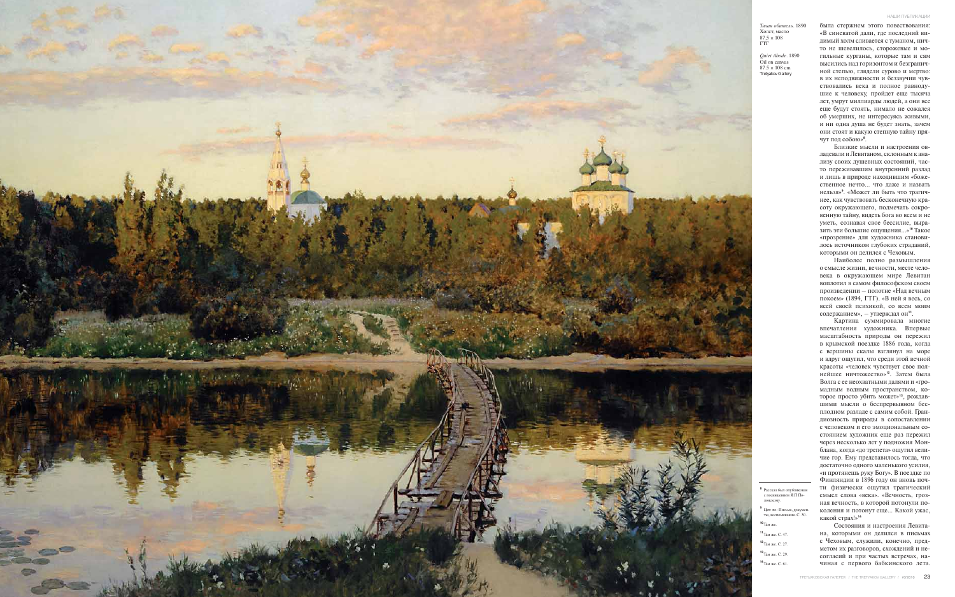была стержнем этого повествования: «В синеватой дали, где последний видимый холм сливается с туманом, ничто не шевелилось, сторожевые и могильные курганы, которые там и сям высились над горизонтом и безграничной степью, глядели сурово и мертво: в их неподвижности и беззвучии чувствовались века и полное равнодушие к человеку, пройдет еще тысяча лет, умрут миллиарды людей, а они все еще будут стоять, нимало не сожалея об умерших, не интересуясь живыми, и ни одна душа не будет знать, зачем они стоят и какую степную тайну прячут под собою»**<sup>8</sup>** .

Близкие мысли и настроения овладевали и Левитаном, склонным к анализу своих душевных состояний, часто переживавшим внутренний разлад и лишь в природе находившим «божественное нечто… что даже и назвать нельзя»**<sup>9</sup>** . «Может ли быть что трагичнее, как чувствовать бесконечную красоту окружающего, подмечать сокровенную тайну, видеть бога во всем и не уметь, сознавая свое бессилие, выразить эти большие ощущения…»**<sup>10</sup>** Такое «прозрение» для художника становилось источником глубоких страданий, которыми он делился с Чеховым.

Наиболее полно размышления о смысле жизни, вечности, месте человека в окружающем мире Левитан воплотил в самом философском своем произведении – полотне «Над вечным покоем» (1894, ГТГ). «В ней я весь, со всей своей психикой, со всем моим содержанием», – утверждал он**11**.

Рассказ был опублик с посвящением Я.П.Полонскому.

Картина суммировала многие впечатления художника. Впервые масштабность природы он пережил в крымской поездке 1886 года, когда с вершины скалы взглянул на море и вдруг ощутил, что среди этой вечной красоты «человек чувствует свое полнейшее ничтожество»**12**. Затем была Волга с ее неохватными далями и «громадным водным пространством, которое просто убить может»**13**, рождавшими мысли о беспрервывном бесплодном разладе с самим собой. Грандиозность природы в сопоставлении с человеком и его эмоциональным состоянием художник еще раз пережил через несколько лет у подножия Монблана, когда «до трепета» ощутил величие гор. Ему представилось тогда, что достаточно одного маленького усилия, «и протянешь руку Богу». В поездке по Финляндии в 1896 году он вновь почти физически ощутил трагический смысл слова «века». «Вечность, грозная вечность, в которой потонули поколения и потонут еще… Какой ужас, какой страх!»**<sup>14</sup>**

Состояния и настроения Левитана, которыми он делился в письмах с Чеховым, служили, конечно, предметом их разговоров, схождений и несогласий и при частых встречах, начиная с первого бабкинского лета.



**<sup>9</sup>** Цит. по: Письма, документы, воспоминания. С. 30.

**<sup>10</sup>**Там же.

**<sup>11</sup>**Там же. С. 47.

**<sup>12</sup>**Там же. С. 27. **<sup>13</sup>**Там же. С. 29.

**<sup>14</sup>**Там же. С. 61.



*Тихая обитель.* 1890 Холст, масло  $87,5 \times 108$ ГТГ

*Quiet Abode.* 1890 Oil on canvas  $87.5 \times 108$  cm Tretyakov Gallery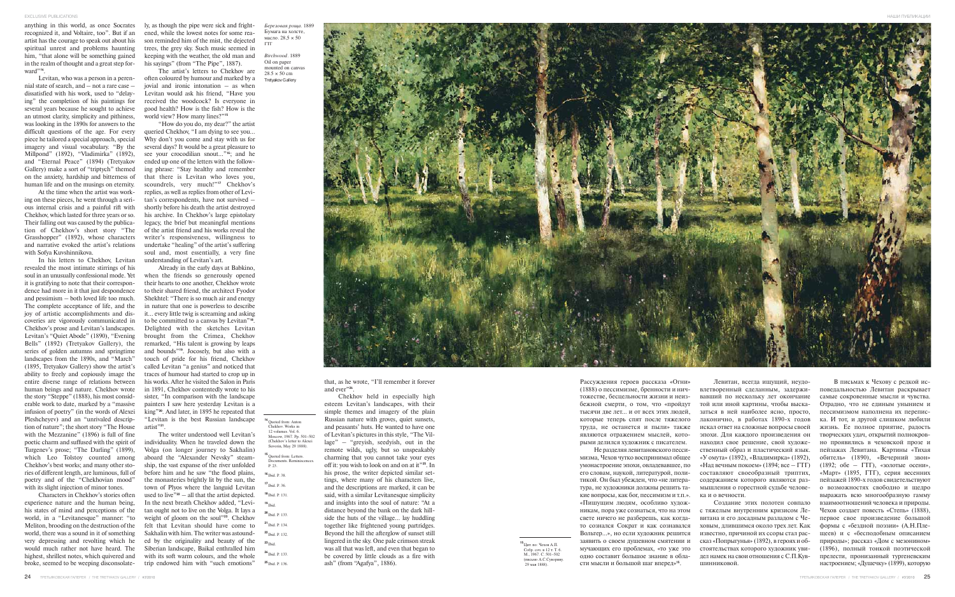recognized it, and Voltaire, too". But if an artist has the courage to speak out about his spiritual unrest and problems haunting him, "that alone will be something gained in the realm of thought and a great step forward"**14**.

Levitan, who was a person in a perennial state of search, and – not a rare case – dissatisfied with his work, used to "delaying" the completion of his paintings for several years because he sought to achieve an utmost clarity, simplicity and pithiness, was looking in the 1890s for answers to the difficult questions of the age. For every piece he tailored a special approach, special imagery and visual vocabulary. "By the Millpond" (1892), "Vladimirka" (1892), and "Eternal Peace" (1894) (Tretyakov Gallery) make a sort of "triptych" themed on the anxiety, hardship and bitterness of human life and on the musings on eternity.

At the time when the artist was working on these pieces, he went through a serious internal crisis and a painful rift with Chekhov, which lasted for three years or so. Their falling out was caused by the publication of Chekhov's short story "The Grasshopper" (1892), whose characters and narrative evoked the artist's relations with Sofya Kuvshinnikova.

In his letters to Chekhov, Levitan revealed the most intimate stirrings of his soul in an unusually confessional mode. Yet it is gratifying to note that their correspondence had more in it that just despondence and pessimism – both loved life too much. The complete acceptance of life, and the joy of artistic accomplishments and discoveries are vigorously communicated in Chekhov's prose and Levitan's landscapes. Levitan's "Quiet Abode" (1890), "Evening Bells" (1892) (Tretyakov Gallery), the series of golden autumns and springtime landscapes from the 1890s, and "March" (1895, Tretyakov Gallery) show the artist's ability to freely and copiously image the entire diverse range of relations between human beings and nature. Chekhov wrote the story "Steppe" (1888), his most considerable work to date, marked by a "massive infusion of poetry" (in the words of Alexei Pleshcheyev) and an "unrivaled description of nature"; the short story "The House artist"**21**. with the Mezzanine" (1896) is full of fine poetic charm and suffused with the spirit of Turgenev's prose; "The Darling" (1899), which Leo Tolstoy counted among Chekhov's best works; and many other stories of different length, are luminous, full of poetry and of the "Chekhovian mood" with its slight injection of minor tones.

Characters in Chekhov's stories often experience nature and the human being, his states of mind and perceptions of the world, in a "Levitanesque" manner: "to Meliton, brooding on the destruction of the world, there was a sound in it of something very depressing and revolting which he would much rather not have heard. The highest, shrillest notes, which quivered and broke, seemed to be weeping disconsolate-

anything in this world, as once Socrates ly, as though the pipe were sick and frightened, while the lowest notes for some reason reminded him of the mist, the dejected trees, the grey sky. Such music seemed in keeping with the weather, the old man and his sayings" (from "The Pipe", 1887).

> The artist's letters to Chekhov are often coloured by humour and marked by a jovial and ironic intonation  $-$  as when Levitan would ask his friend, "Have you received the woodcock? Is everyone in good health? How is the fish? How is the world view? How many lines?"**<sup>15</sup>**

> "How do you do, my dear?" the artist queried Chekhov, "I am dying to see you… Why don't you come and stay with us for several days? It would be a great pleasure to see your crocodilian snout…"**16**; and he ended up one of the letters with the following phrase: "Stay healthy and remember that there is Levitan who loves you, scoundrels, very much!"**<sup>17</sup>** Chekhov's replies, as well as replies from other of Levitan's correspondents, have not survived – shortly before his death the artist destroyed his archive. In Chekhov's large epistolary legacy, the brief but meaningful mentions of the artist friend and his works reveal the writer's responsiveness, willingness to undertake "healing" of the artist's suffering soul and, most essentially, a very fine understanding of Levitan's art.

> Already in the early days at Babkino, when the friends so generously opened their hearts to one another, Chekhov wrote to their shared friend, the architect Fyodor Shekhtel: "There is so much air and energy in nature that one is powerless to describe it… every little twig is screaming and asking to be committed to a canvas by Levitan"**18**. Delighted with the sketches Levitan brought from the Crimea, Chekhov remarked, "His talent is growing by leaps and bounds"**19**. Jocosely, but also with a touch of pride for his friend, Chekhov called Levitan "a genius" and noticed that traces of humour had started to crop up in his works. After he visited the Salon in Paris in 1891, Chekhov contentedly wrote to his sister, "In comparison with the landscape painters I saw here yesterday Levitan is a king"**20**. And later, in 1895 he repeated that "Levitan is the best Russian landscape

> The writer understood well Levitan's individuality. When he traveled down the Volga (on longer journey to Sakhalin) aboard the "Alexander Nevsky" steamship, the vast expanse of the river unfolded before him and he saw "the flood plains, the monasteries brightly lit by the sun, the town of Plyos where the languid Levitan used to live<sup> $n_{22}$ </sup> – all that the artist depicted. In the next breath Chekhov added, "Levitan ought not to live on the Volga. It lays a weight of gloom on the soul"**23**. Chekhov felt that Levitan should have come to Sakhalin with him. The writer was astounded by the originality and beauty of the Siberian landscape, Baikal enthralled him with its soft warm colours, and the whole trip endowed him with "such emotions"

that, as he wrote, "I'll remember it forever and ever"**24**.

Chekhov held in especially high esteem Levitan's landscapes, with their simple themes and imagery of the plain Russian nature with groves, quiet sunsets, and peasants' huts. He wanted to have one of Levitan's pictures in this style, "The Village" – "greyish, seedyish, out in the remote wilds, ugly, but so unspeakably charming that you cannot take your eyes off it: you wish to look on and on at it"**25**. In his prose, the writer depicted similar settings, where many of his characters live, and the descriptions are marked, it can be said, with a similar Levitanesque simplicity and insights into the soul of nature: "At a distance beyond the bank on the dark hillside the huts of the village… lay huddling together like frightened young partridges. Beyond the hill the afterglow of sunset still lingered in the sky. One pale crimson streak was all that was left, and even that began to be covered by little clouds as a fire with ash" (from "Agafya", 1886).

24 ТРЕТЬЯКОВСКАЯ ГАЛЕРЕЯ / THE TRETYAKOV GALLERY / #3'2010

Рассуждения героев рассказа «Огни» (1888) о пессимизме, бренности и ничтожестве, бесцельности жизни и неизбежной смерти, о том, что «пройдут тысячи две лет… и от всех этих людей, которые теперь спят после тяжелого труда, не останется и пыли» также являются отражением мыслей, которыми делился художник с писателем. Не разделяя левитановского пессимизма, Чехов чутко воспринимал общее умонастроение эпохи, овладевавшее, по его словам, наукой, литературой, политикой. Он был убежден, что «не литература, не художники должны решить такие вопросы, как бог, пессимизм и т.п.». «Пишущим людям, особливо художникам, пора уже сознаться, что на этом свете ничего не разберешь, как когдато сознался Сократ и как сознавался Вольтер…», но если художник решится заявить о своем душевном смятении и мучающих его проблемах, «то уже это одно составит большое знание в обла-

сти мысли и большой шаг вперед»**15**.

Левитан, всегда ищущий, неудовлетворенный сделанным, задерживавший по нескольку лет окончание той или иной картины, чтобы высказаться в ней наиболее ясно, просто, лаконично, в работах 1890-х годов искал ответ на сложные вопросы своей эпохи. Для каждого произведения он находил свое решение, свой художественный образ и пластический язык. «У омута» (1892), «Владимирка» (1892), «Над вечным покоем» (1894; все – ГТГ) составляют своеобразный триптих, содержанием которого являются размышления о горестной судьбе человека и о вечности.

Создание этих полотен совпало с тяжелым внутренним кризисом Левитана и его досадным разладом с Чеховым, длившимся около трех лет. Как известно, причиной их ссоры стал рассказ «Попрыгунья» (1892), в героях и обстоятельствах которого художник увидел намек на свои отношения с С.П.Кувшинниковой.

В письмах к Чехову с редкой исповедальностью Левитан раскрывает самые сокровенные мысли и чувства. Отрадно, что не единым унынием и пессимизмом наполнена их переписка. И тот, и другой слишком любили жизнь. Ее полное приятие, радость творческих удач, открытий полнокровно проявились в чеховской прозе и пейзажах Левитана. Картины «Тихая обитель» (1890), «Вечерний звон» (1892; обе – ГТГ), «золотые осени», «Март» (1895, ГТГ), серия весенних пейзажей 1890-х годов свидетельствуют о возможностях свободно и щедро выражать всю многообразную гамму взаимоотношений человека и природы. Чехов создает повесть «Степь» (1888), первое свое произведение большой формы с «бездной поэзии» (А.Н.Плещеев) и с «бесподобным описанием природы»; рассказ «Дом с мезонином» (1896), полный тонкой поэтической прелести, пронизанный тургеневским настроением; «Душечку» (1899), которую

**<sup>14</sup>**Quoted from: Anton Chekhov. Works in 12 volumes. Vol. 6. Moscow, 1967. Pp. 501–502 (Chekhov's letter to Alexei Suvorin, May 29 1888). **<sup>15</sup>**Quoted from: Letters. Documents. Reminiscences.

P. 23. Ibid. P. 38. Ibid. P. 36. Ibid. P. 131. **<sup>19</sup>**Ibid. Ibid. P. 133. Ibid. P. 134. Ibid. P. 132. **<sup>23</sup>**Ibid. Ibid. P. 133. Ibid. P. 136.



*Березовая роща.* 1889 Бумага на холсте, масло. 28.5 × 50 ГТГ

*Birchwood.* 1889 Oil on paper mounted on canvas  $28.5 \times 50$  cm Tretyakov Gallery

> **<sup>15</sup>**Цит. по: Чехов А.П. Собр. соч. в 12 т. Т. 6. М., 1967. С. 501–502 (письмо А.С.Суворину. 29 мая 1888).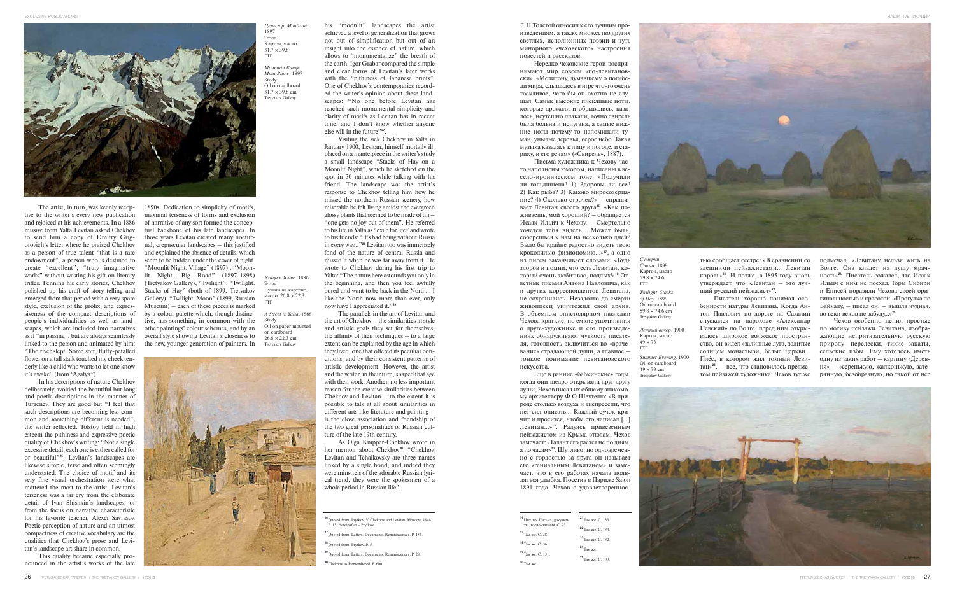The artist, in turn, was keenly receptive to the writer's every new publication and rejoiced at his achievements. In a 1886 missive from Yalta Levitan asked Chekhov to send him a copy of Dmitry Grigorovich's letter where he praised Chekhov as a person of true talent "that is a rare endowment", a person who is destined to create "excellent", "truly imaginative works" without wasting his gift on literary lit Night. Big Road" (1897-1898) trifles. Penning his early stories, Chekhov polished up his craft of story-telling and emerged from that period with a very spare style, exclusion of the prolix, and expressiveness of the compact descriptions of people's individualities as well as landscapes, which are included into narratives as if "in passing", but are always seamlessly linked to the person and animated by him: "The river slept. Some soft, fluffy-petalled flower on a tall stalk touched my cheek tenderly like a child who wants to let one know it's awake" (from "Agafya").

In his descriptions of nature Chekhov deliberately avoided the beautiful but long and poetic descriptions in the manner of Turgenev. They are good but "I feel that such descriptions are becoming less common and something different is needed", the writer reflected. Tolstoy held in high esteem the pithiness and expressive poetic quality of Chekhov's writing: "Not a single excessive detail, each one is either called for or beautiful"**26**. Levitan's landscapes are likewise simple, terse and often seemingly understated. The choice of motif and its very fine visual orchestration were what mattered the most to the artist. Levitan's terseness was a far cry from the elaborate detail of Ivan Shishkin's landscapes, or from the focus on narrative characteristic for his favorite teacher, Alexei Savrasov. Poetic perception of nature and an utmost compactness of creative vocabulary are the qualities that Chekhov's prose and Levitan's landscape art share in common.

This quality became especially pronounced in the artist's works of the late 1890s. Dedication to simplicity of motifs,

maximal terseness of forms and exclusion of narrative of any sort formed the conceptual backbone of his late landscapes. In those years Levitan created many nocturnal, crepuscular landscapes – this justified and explained the absence of details, which seem to be hidden under the cover of night. "Moonlit Night. Village" (1897) , "Moon-(Tretyakov Gallery), "Twilight", "Twilight. Stacks of Hay" (both of 1899, Tretyakov Gallery), "Twilight. Moon" (1899, Russian Museum) – each of these pieces is marked by a colour palette which, though distinctive, has something in common with the other paintings' colour schemes, and by an overall style showing Levitan's closeness to the new, younger generation of painters. In

his "moonlit" landscapes the artist achieved a level of generalization that grows not out of simplification but out of an insight into the essence of nature, which allows to "monumentalize" the breath of the earth. Igor Grabar compared the simple and clear forms of Levitan's later works with the "pithiness of Japanese prints". One of Chekhov's contemporaries recorded the writer's opinion about these landscapes: "No one before Levitan has reached such monumental simplicity and clarity of motifs as Levitan has in recent time, and I don't know whether anyone else will in the future"**27**.

Visiting the sick Chekhov in Yalta in January 1900, Levitan, himself mortally ill, placed on a mantelpiece in the writer's study a small landscape "Stacks of Hay on a Moonlit Night", which he sketched on the spot in 30 minutes while talking with his friend. The landscape was the artist's response to Chekhov telling him how he missed the northern Russian scenery, how miserable he felt living amidst the evergreen glossy plants that seemed to be made of tin – "one gets no joy out of them". He referred to his life in Yalta as "exile for life" and wrote to his friends: "It's bad being without Russia in every way..."**<sup>28</sup>** Levitan too was immensely fond of the nature of central Russia and missed it when he was far away from it. He wrote to Chekhov during his first trip to Yalta: "The nature here astounds you only in the beginning, and then you feel awfully bored and want to be back in the North… I like the North now more than ever, only now have I appreciated it."**<sup>29</sup>**

The parallels in the art of Levitan and the art of Chekhov – the similarities in style and artistic goals they set for themselves, the affinity of their techniques – to a large extent can be explained by the age in which they lived, one that offered its peculiar conditions, and by their consistent patterns of artistic development. However, the artist and the writer, in their turn, shaped that age with their work. Another, no less important reason for the creative similarities between Chekhov and Levitan  $=$  to the extent it is possible to talk at all about similarities in different arts like literature and painting – is the close association and friendship of the two great personalities of Russian culture of the late 19th century.

As Olga Knipper-Chekhov wrote in her memoir about Chekhov**30**: "Chekhov, Levitan and Tchaikovsky are three names linked by a single bond, and indeed they were minstrels of the adorable Russian lyrical trend, they were the spokesmen of a whole period in Russian life".

тью сообщает сестре: «В сравнении со здешними пейзажистами… Левитан король»**21**. И позже, в 1895 году вновь утверждает, что «Левитан – это лучший русский пейзажист»**22**.

Писатель хорошо понимал особенности натуры Левитана. Когда Антон Павлович по дороге на Сахалин спускался на пароходе «Александр Невский» по Волге, перед ним открывалось широкое волжское пространство, он видел «заливные луга, залитые солнцем монастыри, белые церкви… Плёс, в котором жил томный Левитан»**23**, – все, что становилось предметом пейзажей художника. Чехов тут же

Л.Н.Толстой относил к его лучшим произведениям, а также множество других светлых, исполненных поэзии и чуть минорного «чеховского» настроения повестей и рассказов.

Нередко чеховские герои воспринимают мир совсем «по-левитановски». «Мелитону, думавшему о погибели мира, слышалось в игре что-то очень тоскливое, чего бы он охотно не слушал. Самые высокие пискливые ноты, которые дрожали и обрывались, казалось, неутешно плакали, точно свирель была больна и испугана, а самые нижние ноты почему-то напоминали туман, унылые деревья, серое небо. Такая музыка казалась к лицу и погоде, и старику, и его речам» («Свирель», 1887).

Письма художника к Чехову часто наполнены юмором, написаны в весело-ироническом тоне: «Получили ли вальдшнепа? 1) Здоровы ли все? 2) Как рыба? 3) Каково миросозерцание? 4) Сколько строчек?» – спрашивает Левитан своего друга**16**. «Как поживаешь, мой хороший? – обращается Исаак Ильич к Чехову. – Смертельно хочется тебя видеть… Может быть, соберешься к нам на несколько дней? Было бы крайне радостно видеть твою крокодилью физиономию…»**17**, а одно из писем заканчивает словами: «Будь здоров и помни, что есть Левитан, который очень любит вас, подлых!»**<sup>18</sup>** Ответные письма Антона Павловича, как ггг и других корреспондентов Левитана, не сохранились. Незадолго до смерти живописец уничтожил свой архив. В объемном эпистолярном наследии Чехова краткие, но емкие упоминания о друге-художнике и его произведениях обнаруживают чуткость писателя, готовность включиться во «врачевание» страдающей души, а главное – тонкое понимание левитановского искусства.

Еще в ранние «бабкинские» годы, когда они щедро открывали друг другу души, Чехов писал их общему знакомому архитектору Ф.О.Шехтелю: «В природе столько воздуха и экспрессии, что нет сил описать… Каждый сучок кричит и просится, чтобы его написал […] Левитан…»**19**. Радуясь привезенным пейзажистом из Крыма этюдам, Чехов замечает: «Талант его растет не по дням, а по часам»**20**. Шутливо, но одновременно с гордостью за друга он называет его «гениальным Левитаном» и замечает, что в его работах начала появляться улыбка. Посетив в Париже Salon 1891 года, Чехов с удовлетворенносподмечал: «Левитану нельзя жить на Волге. Она кладет на душу мрачность»**24**. Писатель сожалел, что Исаак Ильич с ним не поехал. Горы Сибири и Енисей поразили Чехова своей оригинальностью и красотой. «Прогулка по Байкалу, – писал он, – вышла чудная, во веки веков не забуду…»**<sup>25</sup>**

Чехов особенно ценил простые по мотиву пейзажи Левитана, изображающие непритязательную русскую природу: перелески, тихие закаты, сельские избы. Ему хотелось иметь одну из таких работ – картину «Деревня» – «серенькую, жалконькую, затерянную, безобразную, но такой от нее



*Улица в Ялте.* 1886 Этюд Бумага на картоне, масло.  $26,8 \times 22,3$ ГТГ

*A Street in Yalta.* 1886 Study Oil on paper mounted on cardboard  $26.8 \times 22.3$  cm Tretyakov Gallery



*Летний вечер.* 1900 Картон, масло  $49 \times 73$ ГТГ

*Summer Evening.* 1900 Oil on cardboard  $49 \times 73$  cm Tretyakov Gallery

**EXCLUSIVE PUBLICATIONS** 



*Цепь гор. Монблан* 1897 Этюд Картон, масло  $31,7 \times 39,8$ ГТГ

*Mountain Range. Mont Blanc.* 1897 Study Oil on cardboard  $31.7 \times 39.8$  cm Tretyakov Gallery

> *Сумерки. Стога.* 1899 Картон, масло  $598 \times 746$ *Twilight. Stacks of Hay*. 1899 Oil on cardboard  $59.8 \times 74.6$  cm Tretyakov Gallery

| $21$ Там же, С, 133.    |
|-------------------------|
| $^{22}$ Tam we, C, 134. |
| $^{23}$ Tam we, C, 132. |
| $24$ Tam we             |
|                         |
| $25$ Там же. С. 133.    |
|                         |



**<sup>26</sup>**Quoted from: Prytkov, V. Chekhov and Levitan. Moscow, 1948. P. 13. Hereinafter – Prytkov.

**<sup>27</sup>**Quoted from: Letters. Documents. Reminiscences. P. 136.

**<sup>28</sup>**Quoted from: Prytkov. P. 5.

**<sup>29</sup>**Quoted from: Letters. Documents. Reminiscences. P. 28.

**<sup>30</sup>**Chekhov as Remembered. P. 600.